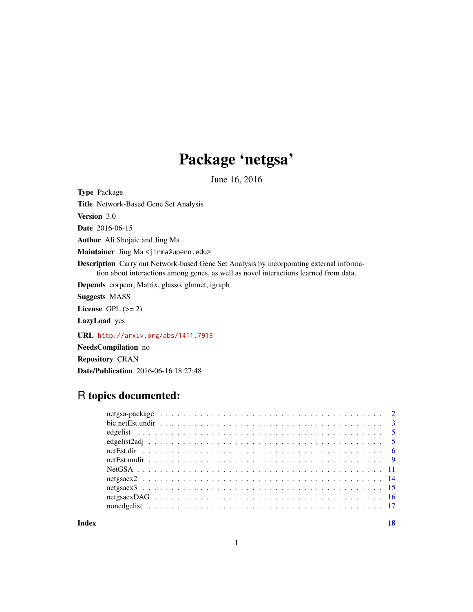# Package 'netgsa'

June 16, 2016

<span id="page-0-0"></span>Type Package

Title Network-Based Gene Set Analysis

Version 3.0

Date 2016-06-15

Author Ali Shojaie and Jing Ma

Maintainer Jing Ma <jinma@upenn.edu>

Description Carry out Network-based Gene Set Analysis by incorporating external information about interactions among genes, as well as novel interactions learned from data.

Depends corpcor, Matrix, glasso, glmnet, igraph

Suggests MASS

License GPL  $(>= 2)$ 

LazyLoad yes

URL <http://arxiv.org/abs/1411.7919>

NeedsCompilation no

Repository CRAN

Date/Publication 2016-06-16 18:27:48

# R topics documented:

**Index** 2008 **[18](#page-17-0)**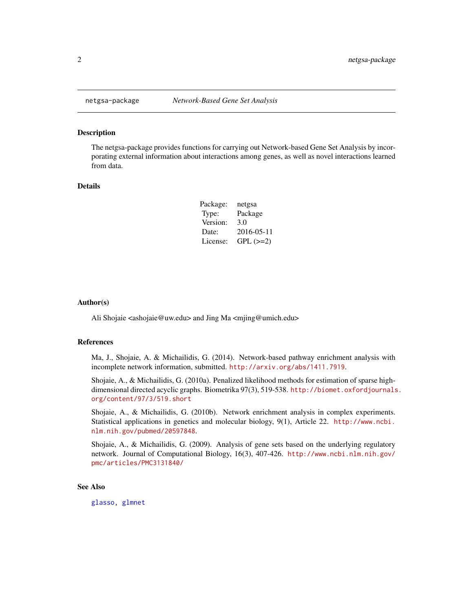<span id="page-1-0"></span>

The netgsa-package provides functions for carrying out Network-based Gene Set Analysis by incorporating external information about interactions among genes, as well as novel interactions learned from data.

# Details

| Package: | netgsa        |
|----------|---------------|
| Type:    | Package       |
| Version: | 3.0           |
| Date:    | 2016-05-11    |
| License: | $GPL$ $(>=2)$ |

#### Author(s)

Ali Shojaie <ashojaie@uw.edu> and Jing Ma <mjing@umich.edu>

#### References

Ma, J., Shojaie, A. & Michailidis, G. (2014). Network-based pathway enrichment analysis with incomplete network information, submitted. <http://arxiv.org/abs/1411.7919>.

Shojaie, A., & Michailidis, G. (2010a). Penalized likelihood methods for estimation of sparse highdimensional directed acyclic graphs. Biometrika 97(3), 519-538. [http://biomet.oxfordjournals](http://biomet.oxfordjournals.org/content/97/3/519.short). [org/content/97/3/519.short](http://biomet.oxfordjournals.org/content/97/3/519.short)

Shojaie, A., & Michailidis, G. (2010b). Network enrichment analysis in complex experiments. Statistical applications in genetics and molecular biology, 9(1), Article 22. [http://www.ncbi.](http://www.ncbi.nlm.nih.gov/pubmed/20597848) [nlm.nih.gov/pubmed/20597848](http://www.ncbi.nlm.nih.gov/pubmed/20597848).

Shojaie, A., & Michailidis, G. (2009). Analysis of gene sets based on the underlying regulatory network. Journal of Computational Biology, 16(3), 407-426. [http://www.ncbi.nlm.nih.gov/](http://www.ncbi.nlm.nih.gov/pmc/articles/PMC3131840/) [pmc/articles/PMC3131840/](http://www.ncbi.nlm.nih.gov/pmc/articles/PMC3131840/)

# See Also

[glasso,](#page-0-0) [glmnet](#page-0-0)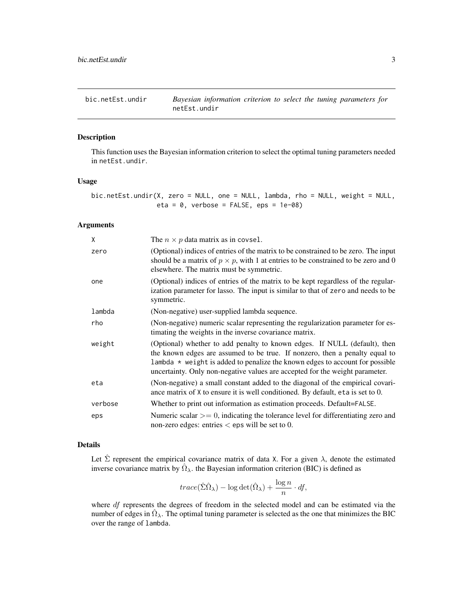<span id="page-2-1"></span><span id="page-2-0"></span>

This function uses the Bayesian information criterion to select the optimal tuning parameters needed in netEst.undir.

### Usage

bic.netEst.undir(X, zero = NULL, one = NULL, lambda, rho = NULL, weight = NULL, eta =  $0$ , verbose = FALSE, eps =  $1e-08$ )

# Arguments

| χ       | The $n \times p$ data matrix as in covsel.                                                                                                                                                                                                                                                                                 |
|---------|----------------------------------------------------------------------------------------------------------------------------------------------------------------------------------------------------------------------------------------------------------------------------------------------------------------------------|
| zero    | (Optional) indices of entries of the matrix to be constrained to be zero. The input<br>should be a matrix of $p \times p$ , with 1 at entries to be constrained to be zero and 0<br>elsewhere. The matrix must be symmetric.                                                                                               |
| one     | (Optional) indices of entries of the matrix to be kept regardless of the regular-<br>ization parameter for lasso. The input is similar to that of zero and needs to be<br>symmetric.                                                                                                                                       |
| lambda  | (Non-negative) user-supplied lambda sequence.                                                                                                                                                                                                                                                                              |
| rho     | (Non-negative) numeric scalar representing the regularization parameter for es-<br>timating the weights in the inverse covariance matrix.                                                                                                                                                                                  |
| weight  | (Optional) whether to add penalty to known edges. If NULL (default), then<br>the known edges are assumed to be true. If nonzero, then a penalty equal to<br>lambda $*$ weight is added to penalize the known edges to account for possible<br>uncertainty. Only non-negative values are accepted for the weight parameter. |
| eta     | (Non-negative) a small constant added to the diagonal of the empirical covari-<br>ance matrix of X to ensure it is well conditioned. By default, eta is set to 0.                                                                                                                                                          |
| verbose | Whether to print out information as estimation proceeds. Default=FALSE.                                                                                                                                                                                                                                                    |
| eps     | Numeric scalar $\ge$ = 0, indicating the tolerance level for differentiating zero and<br>non-zero edges: entries $\lt$ eps will be set to 0.                                                                                                                                                                               |

#### Details

Let  $\hat{\Sigma}$  represent the empirical covariance matrix of data X. For a given  $\lambda$ , denote the estimated inverse covariance matrix by  $\hat{\Omega}_{\lambda}$ . the Bayesian information criterion (BIC) is defined as

$$
trace(\hat{\Sigma}\hat{\Omega}_{\lambda}) - \log \det(\hat{\Omega}_{\lambda}) + \frac{\log n}{n} \cdot df,
$$

where *df* represents the degrees of freedom in the selected model and can be estimated via the number of edges in  $\hat{\Omega}_{\lambda}$ . The optimal tuning parameter is selected as the one that minimizes the BIC over the range of lambda.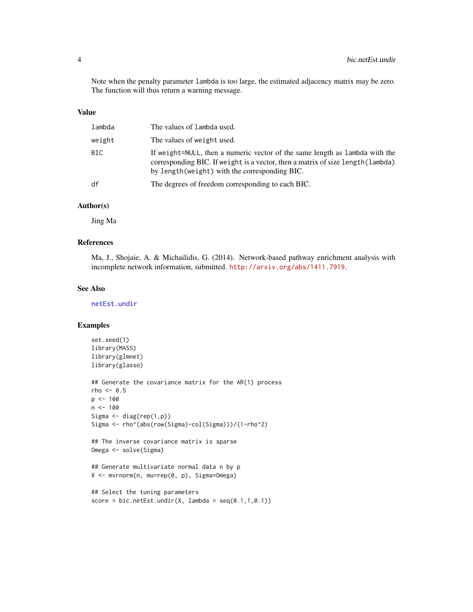<span id="page-3-0"></span>Note when the penalty parameter lambda is too large, the estimated adjacency matrix may be zero. The function will thus return a warning message.

#### Value

| lambda | The values of lambda used.                                                                                                                                                                                        |
|--------|-------------------------------------------------------------------------------------------------------------------------------------------------------------------------------------------------------------------|
| weight | The values of weight used.                                                                                                                                                                                        |
| BIC.   | If weight=NULL, then a numeric vector of the same length as lambda with the<br>corresponding BIC. If we ight is a vector, then a matrix of size length (lambda)<br>by length (weight) with the corresponding BIC. |
| df     | The degrees of freedom corresponding to each BIC.                                                                                                                                                                 |

#### Author(s)

Jing Ma

# References

Ma, J., Shojaie, A. & Michailidis, G. (2014). Network-based pathway enrichment analysis with incomplete network information, submitted. <http://arxiv.org/abs/1411.7919>.

# See Also

[netEst.undir](#page-8-1)

```
set.seed(1)
library(MASS)
library(glmnet)
library(glasso)
## Generate the covariance matrix for the AR(1) process
rho < -0.5p <- 100
n < - 100Sigma <- diag(rep(1,p))
Sigma <- rho^(abs(row(Sigma)-col(Sigma)))/(1-rho^2)
## The inverse covariance matrix is sparse
Omega <- solve(Sigma)
## Generate multivariate normal data n by p
X <- mvrnorm(n, mu=rep(0, p), Sigma=Omega)
```

```
## Select the tuning parameters
score = bic.netEst.update(X, lambda = seq(0.1, 1, 0.1))
```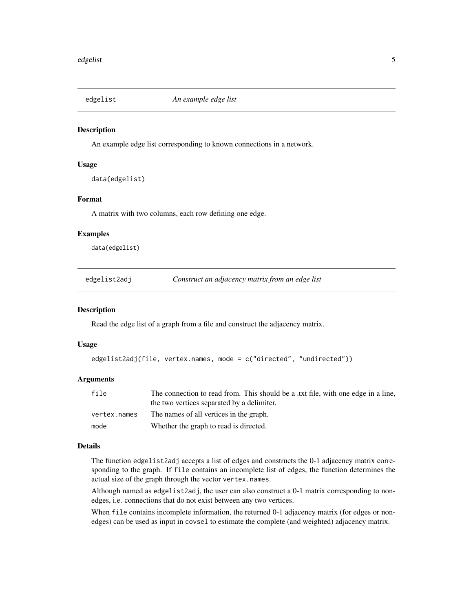<span id="page-4-0"></span>

An example edge list corresponding to known connections in a network.

#### Usage

data(edgelist)

# Format

A matrix with two columns, each row defining one edge.

#### Examples

data(edgelist)

<span id="page-4-1"></span>edgelist2adj *Construct an adjacency matrix from an edge list*

#### Description

Read the edge list of a graph from a file and construct the adjacency matrix.

#### Usage

```
edgelist2adj(file, vertex.names, mode = c("directed", "undirected"))
```
#### Arguments

| file         | The connection to read from. This should be a txt file, with one edge in a line, |
|--------------|----------------------------------------------------------------------------------|
|              | the two vertices separated by a delimiter.                                       |
| vertex.names | The names of all vertices in the graph.                                          |
| mode         | Whether the graph to read is directed.                                           |

# Details

The function edgelist2adj accepts a list of edges and constructs the 0-1 adjacency matrix corresponding to the graph. If file contains an incomplete list of edges, the function determines the actual size of the graph through the vector vertex.names.

Although named as edgelist2adj, the user can also construct a 0-1 matrix corresponding to nonedges, i.e. connections that do not exist between any two vertices.

When file contains incomplete information, the returned 0-1 adjacency matrix (for edges or nonedges) can be used as input in covsel to estimate the complete (and weighted) adjacency matrix.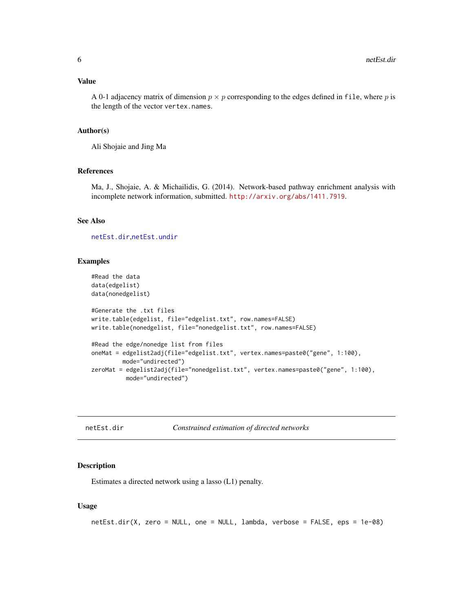#### <span id="page-5-0"></span>Value

A 0-1 adjacency matrix of dimension  $p \times p$  corresponding to the edges defined in file, where p is the length of the vector vertex.names.

#### Author(s)

Ali Shojaie and Jing Ma

### References

Ma, J., Shojaie, A. & Michailidis, G. (2014). Network-based pathway enrichment analysis with incomplete network information, submitted. <http://arxiv.org/abs/1411.7919>.

# See Also

[netEst.dir](#page-5-1),[netEst.undir](#page-8-1)

#### Examples

```
#Read the data
data(edgelist)
data(nonedgelist)
#Generate the .txt files
write.table(edgelist, file="edgelist.txt", row.names=FALSE)
write.table(nonedgelist, file="nonedgelist.txt", row.names=FALSE)
#Read the edge/nonedge list from files
oneMat = edgelist2adj(file="edgelist.txt", vertex.names=paste0("gene", 1:100),
        mode="undirected")
zeroMat = edgelist2adj(file="nonedgelist.txt", vertex.names=paste0("gene", 1:100),
          mode="undirected")
```
<span id="page-5-1"></span>

| netEst.dir | Constrained estimation of directed networks |
|------------|---------------------------------------------|
|------------|---------------------------------------------|

#### Description

Estimates a directed network using a lasso (L1) penalty.

#### Usage

```
netEst.dir(X, zero = NULL, one = NULL, lambda, verbose = FALSE, eps = 1e-08)
```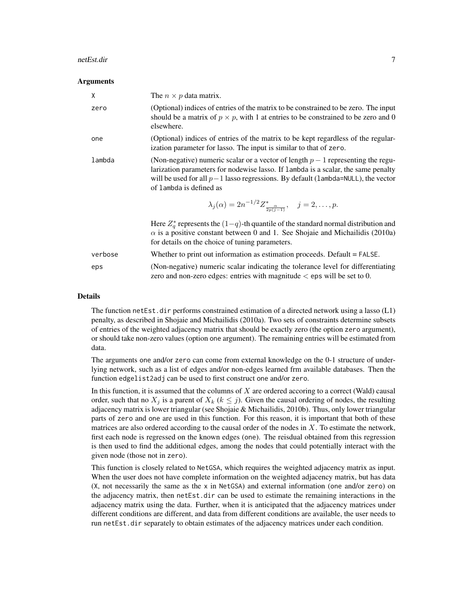#### netEst.dir 7

#### Arguments

| X       | The $n \times p$ data matrix.                                                                                                                                                                                                                                                          |
|---------|----------------------------------------------------------------------------------------------------------------------------------------------------------------------------------------------------------------------------------------------------------------------------------------|
| zero    | (Optional) indices of entries of the matrix to be constrained to be zero. The input<br>should be a matrix of $p \times p$ , with 1 at entries to be constrained to be zero and 0<br>elsewhere.                                                                                         |
| one     | (Optional) indices of entries of the matrix to be kept regardless of the regular-<br>ization parameter for lasso. The input is similar to that of zero.                                                                                                                                |
| lambda  | (Non-negative) numeric scalar or a vector of length $p-1$ representing the regu-<br>larization parameters for nodewise lasso. If lambda is a scalar, the same penalty<br>will be used for all $p-1$ lasso regressions. By default (1ambda=NULL), the vector<br>of lambda is defined as |
|         | $\lambda_j(\alpha) = 2n^{-1/2} Z^*_{\frac{\alpha}{2n(i-1)}}, \quad j = 2, \ldots, p.$                                                                                                                                                                                                  |
|         | Here $Z^*_{\sigma}$ represents the $(1-q)$ -th quantile of the standard normal distribution and<br>$\alpha$ is a positive constant between 0 and 1. See Shojaie and Michailidis (2010a)<br>for details on the choice of tuning parameters.                                             |
| verbose | Whether to print out information as estimation proceeds. Default = FALSE.                                                                                                                                                                                                              |
| eps     | (Non-negative) numeric scalar indicating the tolerance level for differentiating<br>zero and non-zero edges: entries with magnitude $\lt$ eps will be set to 0.                                                                                                                        |

#### Details

The function netEst.dir performs constrained estimation of a directed network using a lasso (L1) penalty, as described in Shojaie and Michailidis (2010a). Two sets of constraints determine subsets of entries of the weighted adjacency matrix that should be exactly zero (the option zero argument), or should take non-zero values (option one argument). The remaining entries will be estimated from data.

The arguments one and/or zero can come from external knowledge on the 0-1 structure of underlying network, such as a list of edges and/or non-edges learned frm available databases. Then the function edgelist2adj can be used to first construct one and/or zero.

In this function, it is assumed that the columns of  $X$  are ordered accoring to a correct (Wald) causal order, such that no  $X_i$  is a parent of  $X_k$  ( $k \leq j$ ). Given the causal ordering of nodes, the resulting adjacency matrix is lower triangular (see Shojaie & Michailidis, 2010b). Thus, only lower triangular parts of zero and one are used in this function. For this reason, it is important that both of these matrices are also ordered according to the causal order of the nodes in  $X$ . To estimate the network, first each node is regressed on the known edges (one). The reisdual obtained from this regression is then used to find the additional edges, among the nodes that could potentially interact with the given node (those not in zero).

This function is closely related to NetGSA, which requires the weighted adjacency matrix as input. When the user does not have complete information on the weighted adjacency matrix, but has data  $(X, \text{not necessarily the same as the } x \text{ in NetGSA})$  and external information (one and/or zero) on the adjacency matrix, then netEst.dir can be used to estimate the remaining interactions in the adjacency matrix using the data. Further, when it is anticipated that the adjacency matrices under different conditions are different, and data from different conditions are available, the user needs to run netEst.dir separately to obtain estimates of the adjacency matrices under each condition.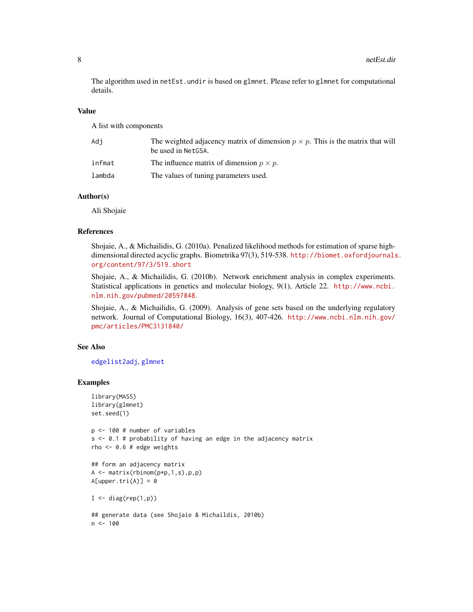<span id="page-7-0"></span>The algorithm used in netEst.undir is based on glmnet. Please refer to glmnet for computational details.

#### Value

A list with components

| Adi    | The weighted adjacency matrix of dimension $p \times p$ . This is the matrix that will<br>be used in NetGSA. |
|--------|--------------------------------------------------------------------------------------------------------------|
| infmat | The influence matrix of dimension $p \times p$ .                                                             |
| lambda | The values of tuning parameters used.                                                                        |

# Author(s)

Ali Shojaie

#### References

Shojaie, A., & Michailidis, G. (2010a). Penalized likelihood methods for estimation of sparse highdimensional directed acyclic graphs. Biometrika 97(3), 519-538. [http://biomet.oxfordjournals](http://biomet.oxfordjournals.org/content/97/3/519.short). [org/content/97/3/519.short](http://biomet.oxfordjournals.org/content/97/3/519.short)

Shojaie, A., & Michailidis, G. (2010b). Network enrichment analysis in complex experiments. Statistical applications in genetics and molecular biology, 9(1), Article 22. [http://www.ncbi.](http://www.ncbi.nlm.nih.gov/pubmed/20597848) [nlm.nih.gov/pubmed/20597848](http://www.ncbi.nlm.nih.gov/pubmed/20597848).

Shojaie, A., & Michailidis, G. (2009). Analysis of gene sets based on the underlying regulatory network. Journal of Computational Biology, 16(3), 407-426. [http://www.ncbi.nlm.nih.gov/](http://www.ncbi.nlm.nih.gov/pmc/articles/PMC3131840/) [pmc/articles/PMC3131840/](http://www.ncbi.nlm.nih.gov/pmc/articles/PMC3131840/)

#### See Also

[edgelist2adj](#page-4-1), [glmnet](#page-0-0)

```
library(MASS)
library(glmnet)
set.seed(1)
p <- 100 # number of variables
s <- 0.1 # probability of having an edge in the adjacency matrix
rho <- 0.6 # edge weights
## form an adjacency matrix
A \leftarrow matrix(rbinom(p*p,1,s),p,p)A[upper.tri(A)] = 0I \leftarrow diag(rep(1,p))
```

```
## generate data (see Shojaie & Michaildis, 2010b)
n < - 100
```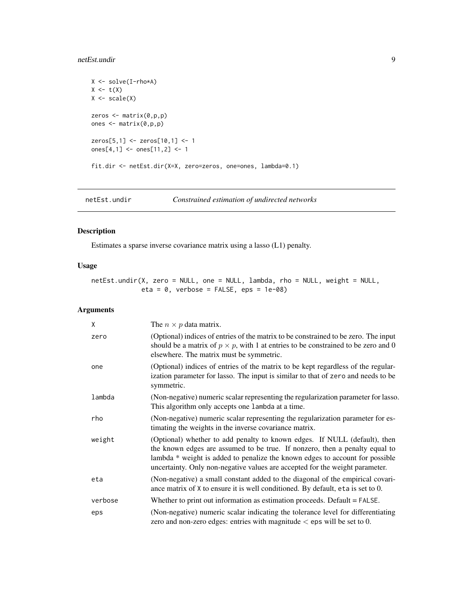# <span id="page-8-0"></span>netEst.undir 9

```
X <- solve(I-rho*A)
X \leftarrow t(X)X \leftarrow scale(X)zeros <- matrix(0,p,p)
ones <- matrix(0,p,p)
zeros[5,1] <- zeros[10,1] <- 1
ones[4,1] <- ones[11,2] <- 1
fit.dir <- netEst.dir(X=X, zero=zeros, one=ones, lambda=0.1)
```
<span id="page-8-1"></span>netEst.undir *Constrained estimation of undirected networks*

# Description

Estimates a sparse inverse covariance matrix using a lasso (L1) penalty.

# Usage

netEst.undir(X, zero = NULL, one = NULL, lambda, rho = NULL, weight = NULL, eta =  $0$ , verbose = FALSE, eps = 1e-08)

# Arguments

| X       | The $n \times p$ data matrix.                                                                                                                                                                                                                                                                                            |
|---------|--------------------------------------------------------------------------------------------------------------------------------------------------------------------------------------------------------------------------------------------------------------------------------------------------------------------------|
| zero    | (Optional) indices of entries of the matrix to be constrained to be zero. The input<br>should be a matrix of $p \times p$ , with 1 at entries to be constrained to be zero and 0<br>elsewhere. The matrix must be symmetric.                                                                                             |
| one     | (Optional) indices of entries of the matrix to be kept regardless of the regular-<br>ization parameter for lasso. The input is similar to that of zero and needs to be<br>symmetric.                                                                                                                                     |
| lambda  | (Non-negative) numeric scalar representing the regularization parameter for lasso.<br>This algorithm only accepts one lambda at a time.                                                                                                                                                                                  |
| rho     | (Non-negative) numeric scalar representing the regularization parameter for es-<br>timating the weights in the inverse covariance matrix.                                                                                                                                                                                |
| weight  | (Optional) whether to add penalty to known edges. If NULL (default), then<br>the known edges are assumed to be true. If nonzero, then a penalty equal to<br>lambda * weight is added to penalize the known edges to account for possible<br>uncertainty. Only non-negative values are accepted for the weight parameter. |
| eta     | (Non-negative) a small constant added to the diagonal of the empirical covari-<br>ance matrix of X to ensure it is well conditioned. By default, eta is set to 0.                                                                                                                                                        |
| verbose | Whether to print out information as estimation proceeds. Default = FALSE.                                                                                                                                                                                                                                                |
| eps     | (Non-negative) numeric scalar indicating the tolerance level for differentiating<br>zero and non-zero edges: entries with magnitude $\lt$ eps will be set to 0.                                                                                                                                                          |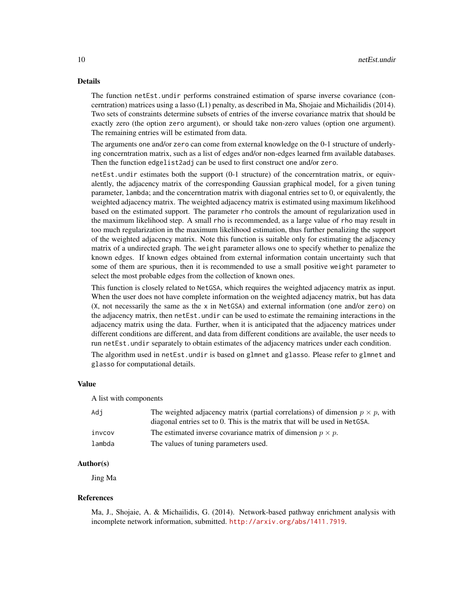#### Details

The function netEst.undir performs constrained estimation of sparse inverse covariance (concerntration) matrices using a lasso (L1) penalty, as described in Ma, Shojaie and Michailidis (2014). Two sets of constraints determine subsets of entries of the inverse covariance matrix that should be exactly zero (the option zero argument), or should take non-zero values (option one argument). The remaining entries will be estimated from data.

The arguments one and/or zero can come from external knowledge on the 0-1 structure of underlying concerntration matrix, such as a list of edges and/or non-edges learned frm available databases. Then the function edgelist2adj can be used to first construct one and/or zero.

netEst.undir estimates both the support (0-1 structure) of the concerntration matrix, or equivalently, the adjacency matrix of the corresponding Gaussian graphical model, for a given tuning parameter, lambda; and the concerntration matrix with diagonal entries set to 0, or equivalently, the weighted adjacency matrix. The weighted adjacency matrix is estimated using maximum likelihood based on the estimated support. The parameter rho controls the amount of regularization used in the maximum likelihood step. A small rho is recommended, as a large value of rho may result in too much regularization in the maximum likelihood estimation, thus further penalizing the support of the weighted adjacency matrix. Note this function is suitable only for estimating the adjacency matrix of a undirected graph. The weight parameter allows one to specify whether to penalize the known edges. If known edges obtained from external information contain uncertainty such that some of them are spurious, then it is recommended to use a small positive weight parameter to select the most probable edges from the collection of known ones.

This function is closely related to NetGSA, which requires the weighted adjacency matrix as input. When the user does not have complete information on the weighted adjacency matrix, but has data  $(X, \text{not necessarily the same as the } x \text{ in NetGSA})$  and external information (one and/or zero) on the adjacency matrix, then netEst.undir can be used to estimate the remaining interactions in the adjacency matrix using the data. Further, when it is anticipated that the adjacency matrices under different conditions are different, and data from different conditions are available, the user needs to run netEst.undir separately to obtain estimates of the adjacency matrices under each condition.

The algorithm used in netEst.undir is based on glmnet and glasso. Please refer to glmnet and glasso for computational details.

#### Value

A list with components

| Adi    | The weighted adjacency matrix (partial correlations) of dimension $p \times p$ , with<br>diagonal entries set to 0. This is the matrix that will be used in NetGSA. |
|--------|---------------------------------------------------------------------------------------------------------------------------------------------------------------------|
| invcov | The estimated inverse covariance matrix of dimension $p \times p$ .                                                                                                 |
| lambda | The values of tuning parameters used.                                                                                                                               |

#### Author(s)

Jing Ma

### References

Ma, J., Shojaie, A. & Michailidis, G. (2014). Network-based pathway enrichment analysis with incomplete network information, submitted. <http://arxiv.org/abs/1411.7919>.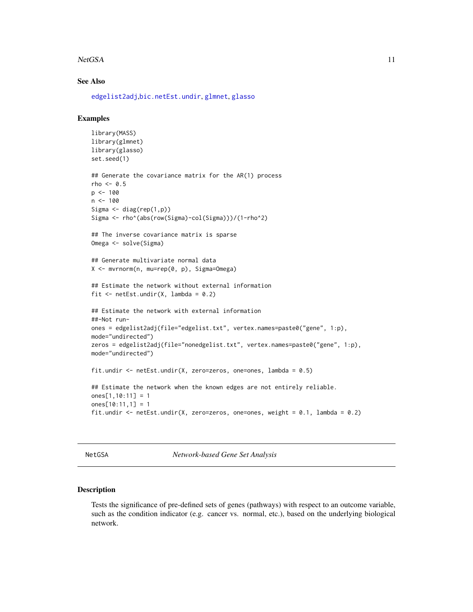#### <span id="page-10-0"></span>NetGSA 11

### See Also

[edgelist2adj](#page-4-1),[bic.netEst.undir](#page-2-1), [glmnet](#page-0-0), [glasso](#page-0-0)

# Examples

```
library(MASS)
library(glmnet)
library(glasso)
set.seed(1)
## Generate the covariance matrix for the AR(1) process
rho < -0.5p \le -100n <- 100
Sigma \leq diag(rep(1,p))
Sigma <- rho^(abs(row(Sigma)-col(Sigma)))/(1-rho^2)
## The inverse covariance matrix is sparse
Omega <- solve(Sigma)
## Generate multivariate normal data
X <- mvrnorm(n, mu=rep(0, p), Sigma=Omega)
## Estimate the network without external information
fit \leq netEst.undir(X, lambda = 0.2)
## Estimate the network with external information
##-Not run-
ones = edgelist2adj(file="edgelist.txt", vertex.names=paste0("gene", 1:p),
mode="undirected")
zeros = edgelist2adj(file="nonedgelist.txt", vertex.names=paste0("gene", 1:p),
mode="undirected")
fit.undir \leq netEst.undir(X, zero=zeros, one=ones, lambda = 0.5)
## Estimate the network when the known edges are not entirely reliable.
ones[1,10:11] = 1ones[10:11,1] = 1fit.undir <- netEst.undir(X, zero=zeros, one=ones, weight = 0.1, lambda = 0.2)
```
NetGSA *Network-based Gene Set Analysis*

#### Description

Tests the significance of pre-defined sets of genes (pathways) with respect to an outcome variable, such as the condition indicator (e.g. cancer vs. normal, etc.), based on the underlying biological network.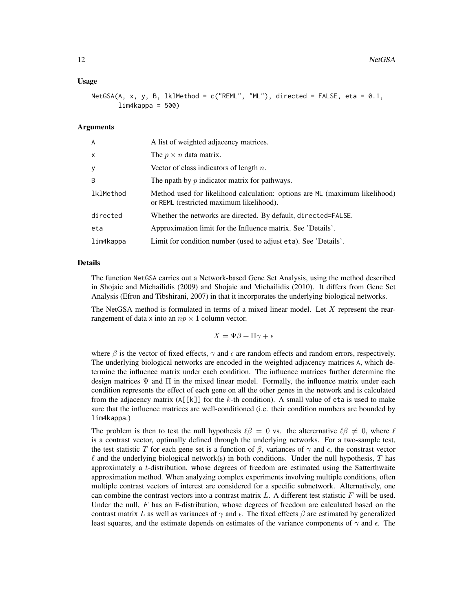#### Usage

NetGSA(A, x, y, B, lklMethod = c("REML", "ML"), directed = FALSE, eta = 0.1,  $lim4kappa = 500$ 

### Arguments

| A         | A list of weighted adjacency matrices.                                                                                  |
|-----------|-------------------------------------------------------------------------------------------------------------------------|
| x         | The $p \times n$ data matrix.                                                                                           |
| у         | Vector of class indicators of length $n$ .                                                                              |
| B         | The npath by $p$ indicator matrix for pathways.                                                                         |
| lklMethod | Method used for likelihood calculation: options are ML (maximum likelihood)<br>or REML (restricted maximum likelihood). |
| directed  | Whether the networks are directed. By default, directed=FALSE.                                                          |
| eta       | Approximation limit for the Influence matrix. See 'Details'.                                                            |
| lim4kappa | Limit for condition number (used to adjust eta). See 'Details'.                                                         |

#### Details

The function NetGSA carries out a Network-based Gene Set Analysis, using the method described in Shojaie and Michailidis (2009) and Shojaie and Michailidis (2010). It differs from Gene Set Analysis (Efron and Tibshirani, 2007) in that it incorporates the underlying biological networks.

The NetGSA method is formulated in terms of a mixed linear model. Let  $X$  represent the rearrangement of data x into an  $np \times 1$  column vector.

 $X = \Psi \beta + \Pi \gamma + \epsilon$ 

where  $\beta$  is the vector of fixed effects,  $\gamma$  and  $\epsilon$  are random effects and random errors, respectively. The underlying biological networks are encoded in the weighted adjacency matrices A, which determine the influence matrix under each condition. The influence matrices further determine the design matrices  $\Psi$  and  $\Pi$  in the mixed linear model. Formally, the influence matrix under each condition represents the effect of each gene on all the other genes in the network and is calculated from the adjacency matrix  $(A[[k]]$  for the k-th condition). A small value of eta is used to make sure that the influence matrices are well-conditioned (i.e. their condition numbers are bounded by lim4kappa.)

The problem is then to test the null hypothesis  $\ell \beta = 0$  vs. the alterernative  $\ell \beta \neq 0$ , where  $\ell$ is a contrast vector, optimally defined through the underlying networks. For a two-sample test, the test statistic T for each gene set is a function of  $\beta$ , variances of  $\gamma$  and  $\epsilon$ , the constrast vector  $\ell$  and the underlying biological network(s) in both conditions. Under the null hypothesis, T has approximately a t-distribution, whose degrees of freedom are estimated using the Satterthwaite approximation method. When analyzing complex experiments involving multiple conditions, often multiple contrast vectors of interest are considered for a specific subnetwork. Alternatively, one can combine the contrast vectors into a contrast matrix  $L$ . A different test statistic  $F$  will be used. Under the null,  $F$  has an F-distribution, whose degrees of freedom are calculated based on the contrast matrix L as well as variances of  $\gamma$  and  $\epsilon$ . The fixed effects  $\beta$  are estimated by generalized least squares, and the estimate depends on estimates of the variance components of  $\gamma$  and  $\epsilon$ . The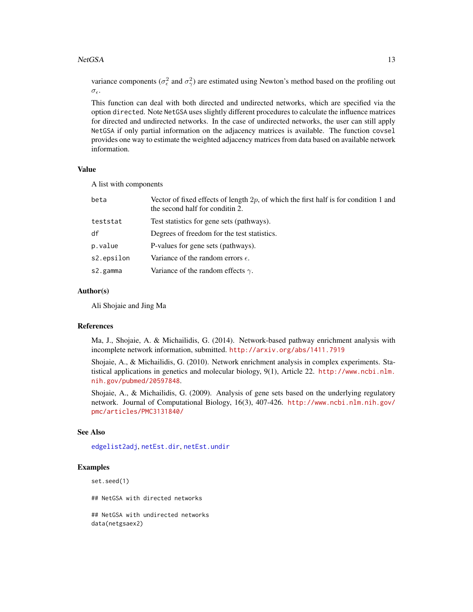#### <span id="page-12-0"></span>NetGSA 13

variance components ( $\sigma_{\epsilon}^2$  and  $\sigma_{\gamma}^2$ ) are estimated using Newton's method based on the profiling out  $\sigma_{\epsilon}$ .

This function can deal with both directed and undirected networks, which are specified via the option directed. Note NetGSA uses slightly different procedures to calculate the influence matrices for directed and undirected networks. In the case of undirected networks, the user can still apply NetGSA if only partial information on the adjacency matrices is available. The function covsel provides one way to estimate the weighted adjacency matrices from data based on available network information.

# Value

A list with components

| beta       | Vector of fixed effects of length $2p$ , of which the first half is for condition 1 and<br>the second half for conditin 2. |
|------------|----------------------------------------------------------------------------------------------------------------------------|
| teststat   | Test statistics for gene sets (pathways).                                                                                  |
| df         | Degrees of freedom for the test statistics.                                                                                |
| p.value    | P-values for gene sets (pathways).                                                                                         |
| s2.epsilon | Variance of the random errors $\epsilon$ .                                                                                 |
| s2.gamma   | Variance of the random effects $\gamma$ .                                                                                  |
|            |                                                                                                                            |

#### Author(s)

Ali Shojaie and Jing Ma

#### References

Ma, J., Shojaie, A. & Michailidis, G. (2014). Network-based pathway enrichment analysis with incomplete network information, submitted. <http://arxiv.org/abs/1411.7919>

Shojaie, A., & Michailidis, G. (2010). Network enrichment analysis in complex experiments. Statistical applications in genetics and molecular biology, 9(1), Article 22. [http://www.ncbi.nlm.](http://www.ncbi.nlm.nih.gov/pubmed/20597848) [nih.gov/pubmed/20597848](http://www.ncbi.nlm.nih.gov/pubmed/20597848).

Shojaie, A., & Michailidis, G. (2009). Analysis of gene sets based on the underlying regulatory network. Journal of Computational Biology, 16(3), 407-426. [http://www.ncbi.nlm.nih.gov/](http://www.ncbi.nlm.nih.gov/pmc/articles/PMC3131840/) [pmc/articles/PMC3131840/](http://www.ncbi.nlm.nih.gov/pmc/articles/PMC3131840/)

### See Also

```
edgelist2adj, netEst.dir, netEst.undir
```
#### Examples

set.seed(1)

## NetGSA with directed networks

## NetGSA with undirected networks data(netgsaex2)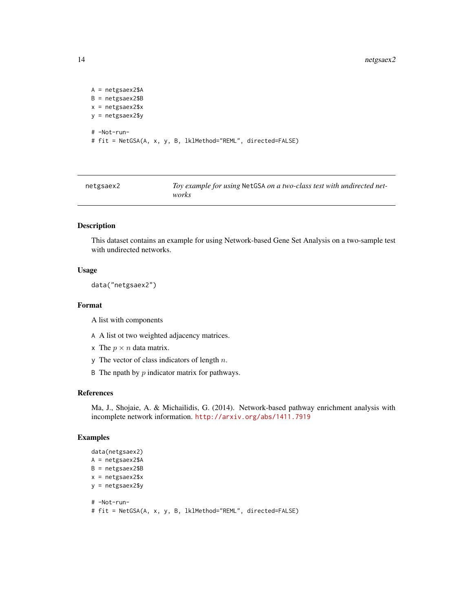#### 14 netgsaex2

```
A = netgsaex2$A
B = netgsaex2$B
x = netgsaex2$x
y = netgsaex2$y
# -Not-run-
# fit = NetGSA(A, x, y, B, lklMethod="REML", directed=FALSE)
```
netgsaex2 *Toy example for using* NetGSA *on a two-class test with undirected networks*

# Description

This dataset contains an example for using Network-based Gene Set Analysis on a two-sample test with undirected networks.

#### Usage

```
data("netgsaex2")
```
#### Format

A list with components

- A A list ot two weighted adjacency matrices.
- x The  $p \times n$  data matrix.
- y The vector of class indicators of length  $n$ .
- B The npath by  $p$  indicator matrix for pathways.

#### References

Ma, J., Shojaie, A. & Michailidis, G. (2014). Network-based pathway enrichment analysis with incomplete network information. <http://arxiv.org/abs/1411.7919>

# Examples

```
data(netgsaex2)
A = netgsaex2$A
B = netgsaex2$B
x = netgsaex2$x
y = netgsaex2$y
# -Not-run-
```
# fit = NetGSA(A, x, y, B, lklMethod="REML", directed=FALSE)

<span id="page-13-0"></span>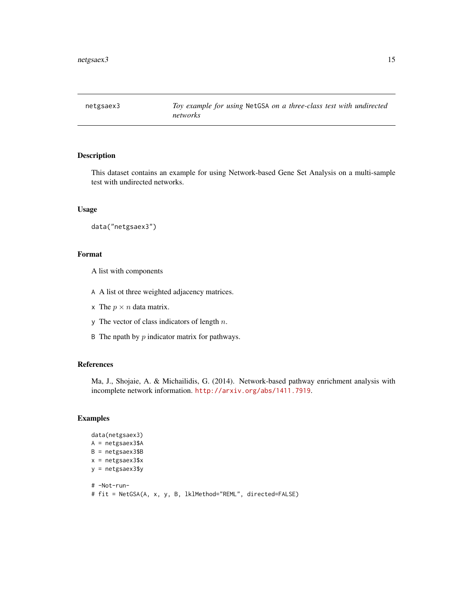<span id="page-14-0"></span>

This dataset contains an example for using Network-based Gene Set Analysis on a multi-sample test with undirected networks.

#### Usage

```
data("netgsaex3")
```
### Format

A list with components

- A A list ot three weighted adjacency matrices.
- x The  $p \times n$  data matrix.
- y The vector of class indicators of length  $n$ .
- B The npath by  $p$  indicator matrix for pathways.

# References

Ma, J., Shojaie, A. & Michailidis, G. (2014). Network-based pathway enrichment analysis with incomplete network information. <http://arxiv.org/abs/1411.7919>.

```
data(netgsaex3)
A = netgsaex3$A
B = netgsaex3$B
x = netgsaex3$x
y = netgsaex3$y
# -Not-run-
# fit = NetGSA(A, x, y, B, lklMethod="REML", directed=FALSE)
```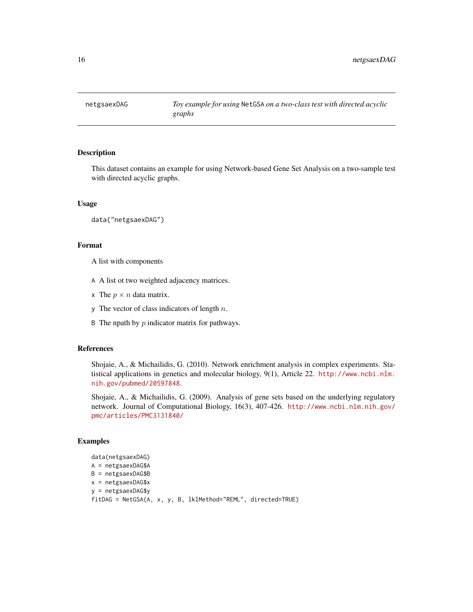<span id="page-15-0"></span>

This dataset contains an example for using Network-based Gene Set Analysis on a two-sample test with directed acyclic graphs.

#### Usage

data("netgsaexDAG")

#### Format

A list with components

- A A list ot two weighted adjacency matrices.
- x The  $p \times n$  data matrix.
- y The vector of class indicators of length  $n$ .
- B The npath by  $p$  indicator matrix for pathways.

#### References

Shojaie, A., & Michailidis, G. (2010). Network enrichment analysis in complex experiments. Statistical applications in genetics and molecular biology, 9(1), Article 22. [http://www.ncbi.nlm.](http://www.ncbi.nlm.nih.gov/pubmed/20597848) [nih.gov/pubmed/20597848](http://www.ncbi.nlm.nih.gov/pubmed/20597848).

Shojaie, A., & Michailidis, G. (2009). Analysis of gene sets based on the underlying regulatory network. Journal of Computational Biology, 16(3), 407-426. [http://www.ncbi.nlm.nih.gov/](http://www.ncbi.nlm.nih.gov/pmc/articles/PMC3131840/) [pmc/articles/PMC3131840/](http://www.ncbi.nlm.nih.gov/pmc/articles/PMC3131840/)

```
data(netgsaexDAG)
A = netgsaexDAG$A
B = netgsaexDAG$B
x = netgsaexDAG$x
y = netgsaexDAG$y
fitDAG = NetGSA(A, x, y, B, lklMethod="REML", directed=TRUE)
```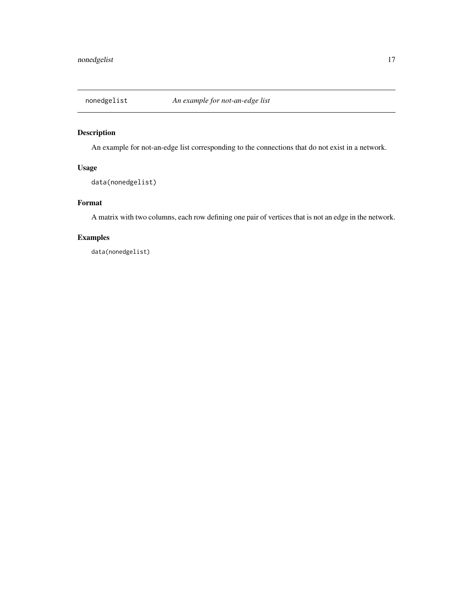<span id="page-16-0"></span>

An example for not-an-edge list corresponding to the connections that do not exist in a network.

# Usage

data(nonedgelist)

# Format

A matrix with two columns, each row defining one pair of vertices that is not an edge in the network.

# Examples

data(nonedgelist)